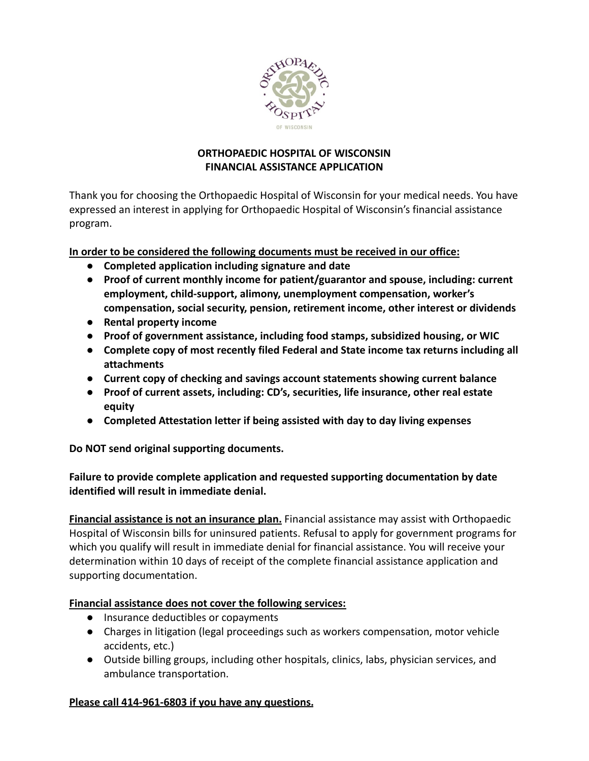

### **ORTHOPAEDIC HOSPITAL OF WISCONSIN FINANCIAL ASSISTANCE APPLICATION**

Thank you for choosing the Orthopaedic Hospital of Wisconsin for your medical needs. You have expressed an interest in applying for Orthopaedic Hospital of Wisconsin's financial assistance program.

## **In order to be considered the following documents must be received in our office:**

- **● Completed application including signature and date**
- **● Proof of current monthly income for patient/guarantor and spouse, including: current employment, child-support, alimony, unemployment compensation, worker's compensation, social security, pension, retirement income, other interest or dividends**
- **● Rental property income**
- **● Proof of government assistance, including food stamps, subsidized housing, or WIC**
- **● Complete copy of most recently filed Federal and State income tax returns including all attachments**
- **● Current copy of checking and savings account statements showing current balance**
- **● Proof of current assets, including: CD's, securities, life insurance, other real estate equity**
- **● Completed Attestation letter if being assisted with day to day living expenses**

**Do NOT send original supporting documents.**

**Failure to provide complete application and requested supporting documentation by date identified will result in immediate denial.**

**Financial assistance is not an insurance plan.** Financial assistance may assist with Orthopaedic Hospital of Wisconsin bills for uninsured patients. Refusal to apply for government programs for which you qualify will result in immediate denial for financial assistance. You will receive your determination within 10 days of receipt of the complete financial assistance application and supporting documentation.

### **Financial assistance does not cover the following services:**

- Insurance deductibles or copayments
- Charges in litigation (legal proceedings such as workers compensation, motor vehicle accidents, etc.)
- Outside billing groups, including other hospitals, clinics, labs, physician services, and ambulance transportation.

### **Please call 414-961-6803 if you have any questions.**